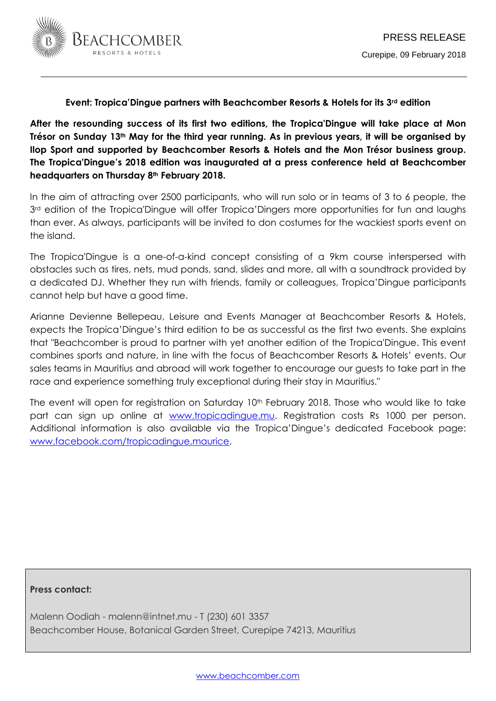

## **Event: Tropica'Dingue partners with Beachcomber Resorts & Hotels for its 3rd edition**

**After the resounding success of its first two editions, the Tropica'Dingue will take place at Mon Trésor on Sunday 13th May for the third year running. As in previous years, it will be organised by Ilop Sport and supported by Beachcomber Resorts & Hotels and the Mon Trésor business group. The Tropica'Dingue's 2018 edition was inaugurated at a press conference held at Beachcomber headquarters on Thursday 8th February 2018.**

In the aim of attracting over 2500 participants, who will run solo or in teams of 3 to 6 people, the 3<sup>rd</sup> edition of the Tropica'Dingue will offer Tropica'Dingers more opportunities for fun and laughs than ever. As always, participants will be invited to don costumes for the wackiest sports event on the island.

The Tropica'Dingue is a one-of-a-kind concept consisting of a 9km course interspersed with obstacles such as tires, nets, mud ponds, sand, slides and more, all with a soundtrack provided by a dedicated DJ. Whether they run with friends, family or colleagues, Tropica'Dingue participants cannot help but have a good time.

Arianne Devienne Bellepeau, Leisure and Events Manager at Beachcomber Resorts & Hotels, expects the Tropica'Dingue's third edition to be as successful as the first two events. She explains that "Beachcomber is proud to partner with yet another edition of the Tropica'Dingue. This event combines sports and nature, in line with the focus of Beachcomber Resorts & Hotels' events. Our sales teams in Mauritius and abroad will work together to encourage our guests to take part in the race and experience something truly exceptional during their stay in Mauritius."

The event will open for registration on Saturday 10<sup>th</sup> February 2018. Those who would like to take part can sign up online at [www.tropicadingue.mu.](http://www.tropicadingue.mu/) Registration costs Rs 1000 per person. Additional information is also available via the Tropica'Dingue's dedicated Facebook page: [www.facebook.com/tropicadingue.maurice.](http://www.facebook.com/tropicadingue.maurice)

## **Press contact:**

Malenn Oodiah - malenn@intnet.mu - T (230) 601 3357 Beachcomber House, Botanical Garden Street, Curepipe 74213, Mauritius